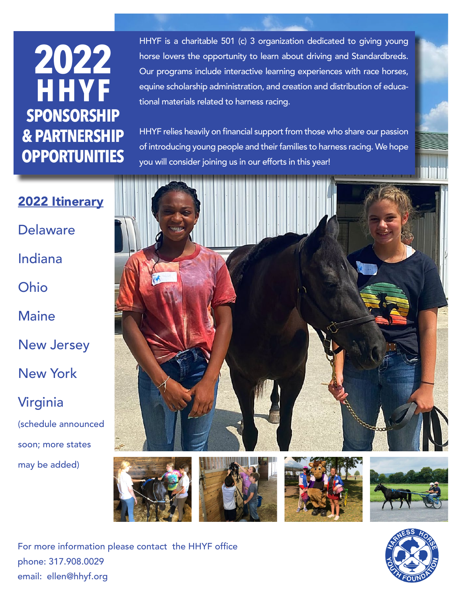## **2022 HHYF SPONSORSHIP & PARTNERSHIP OPPORTUNITIES**

HHYF is a charitable 501 (c) 3 organization dedicated to giving young horse lovers the opportunity to learn about driving and Standardbreds. Our programs include interactive learning experiences with race horses, equine scholarship administration, and creation and distribution of educational materials related to harness racing.

HHYF relies heavily on financial support from those who share our passion of introducing young people and their families to harness racing. We hope you will consider joining us in our efforts in this year!

2022 Itinerary Delaware Indiana Ohio

Maine

New Jersey

New York

Virginia

(schedule announced soon; more states may be added)



For more information please contact the HHYF office phone: 317.908.0029 email: ellen@hhyf.org